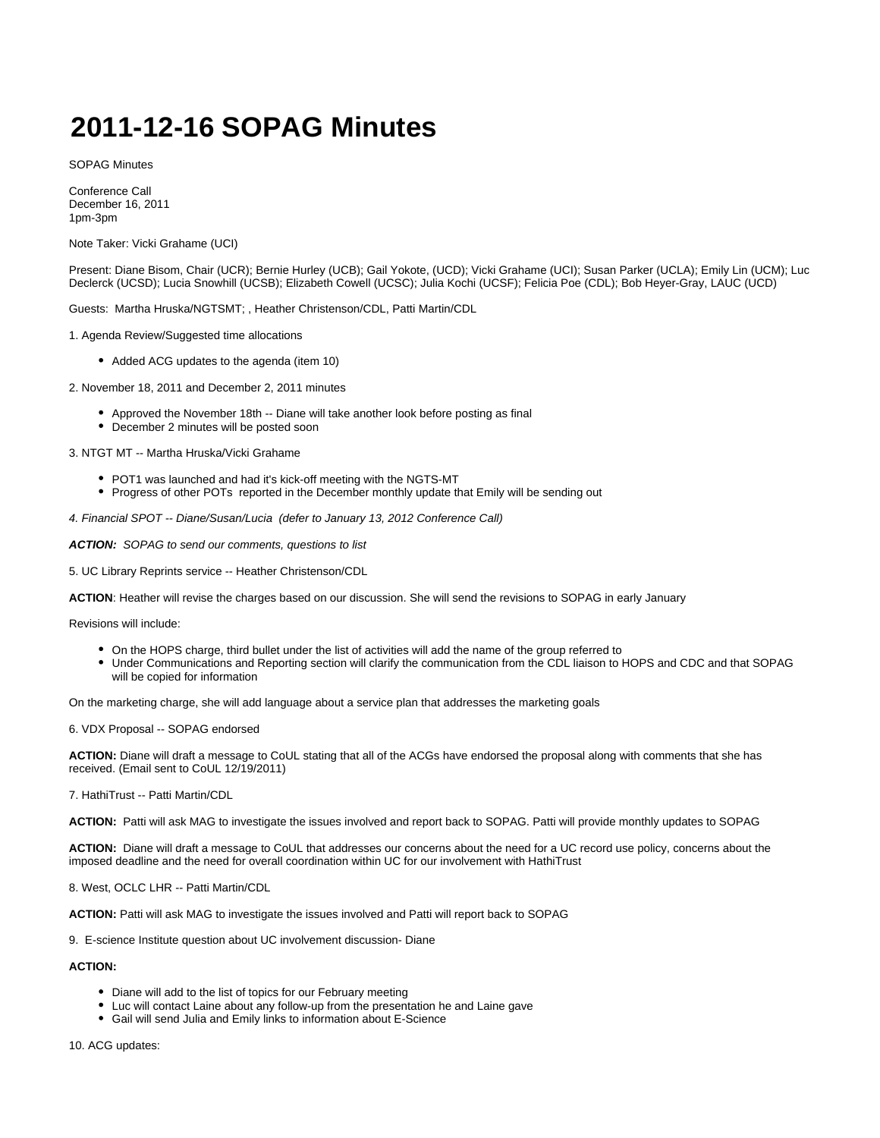## **2011-12-16 SOPAG Minutes**

SOPAG Minutes

Conference Call December 16, 2011 1pm-3pm

Note Taker: Vicki Grahame (UCI)

Present: Diane Bisom, Chair (UCR); Bernie Hurley (UCB); Gail Yokote, (UCD); Vicki Grahame (UCI); Susan Parker (UCLA); Emily Lin (UCM); Luc Declerck (UCSD); Lucia Snowhill (UCSB); Elizabeth Cowell (UCSC); Julia Kochi (UCSF); Felicia Poe (CDL); Bob Heyer-Gray, LAUC (UCD)

Guests: Martha Hruska/NGTSMT; , Heather Christenson/CDL, Patti Martin/CDL

1. Agenda Review/Suggested time allocations

• Added ACG updates to the agenda (item 10)

2. November 18, 2011 and December 2, 2011 minutes

- Approved the November 18th -- Diane will take another look before posting as final
- December 2 minutes will be posted soon

3. NTGT MT -- Martha Hruska/Vicki Grahame

- POT1 was launched and had it's kick-off meeting with the NGTS-MT
- Progress of other POTs reported in the December monthly update that Emily will be sending out

4. Financial SPOT -- Diane/Susan/Lucia (defer to January 13, 2012 Conference Call)

ACTION: SOPAG to send our comments, questions to list

5. UC Library Reprints service -- Heather Christenson/CDL

**ACTION**: Heather will revise the charges based on our discussion. She will send the revisions to SOPAG in early January

Revisions will include:

- On the HOPS charge, third bullet under the list of activities will add the name of the group referred to
- Under Communications and Reporting section will clarify the communication from the CDL liaison to HOPS and CDC and that SOPAG will be copied for information

On the marketing charge, she will add language about a service plan that addresses the marketing goals

6. VDX Proposal -- SOPAG endorsed

**ACTION:** Diane will draft a message to CoUL stating that all of the ACGs have endorsed the proposal along with comments that she has received. (Email sent to CoUL 12/19/2011)

7. HathiTrust -- Patti Martin/CDL

**ACTION:** Patti will ask MAG to investigate the issues involved and report back to SOPAG. Patti will provide monthly updates to SOPAG

**ACTION:** Diane will draft a message to CoUL that addresses our concerns about the need for a UC record use policy, concerns about the imposed deadline and the need for overall coordination within UC for our involvement with HathiTrust

8. West, OCLC LHR -- Patti Martin/CDL

**ACTION:** Patti will ask MAG to investigate the issues involved and Patti will report back to SOPAG

9. E-science Institute question about UC involvement discussion- Diane

**ACTION:**

- Diane will add to the list of topics for our February meeting
- Luc will contact Laine about any follow-up from the presentation he and Laine gave
- Gail will send Julia and Emily links to information about E-Science

10. ACG updates: